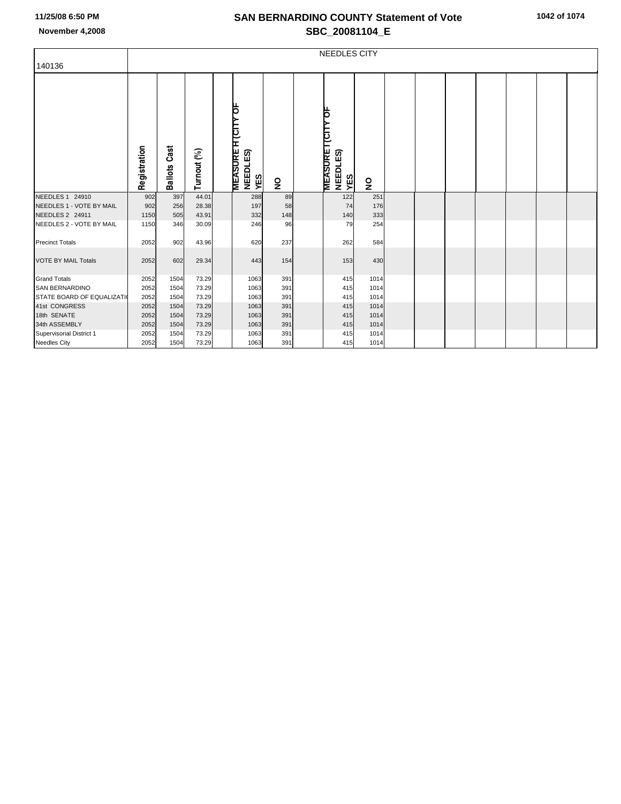## **SAN BERNARDINO COUNTY Statement of Vote November 4,2008 SBC\_20081104\_E**

|                                  | <b>NEEDLES CITY</b> |                        |             |  |                                                        |                         |  |                                                               |                         |  |  |  |  |  |  |  |
|----------------------------------|---------------------|------------------------|-------------|--|--------------------------------------------------------|-------------------------|--|---------------------------------------------------------------|-------------------------|--|--|--|--|--|--|--|
| 140136                           |                     |                        |             |  |                                                        |                         |  |                                                               |                         |  |  |  |  |  |  |  |
|                                  | Registration        | Cast<br><b>Ballots</b> | Turnout (%) |  | <b>H</b> (CITY OF<br><b>MEASURE</b><br>NEEDLES)<br>YES | $\overline{\mathbf{z}}$ |  | þ<br><u>люі і</u><br><b>MEASURE</b><br><b>NEEDLES)</b><br>YES | $\overline{\mathbf{z}}$ |  |  |  |  |  |  |  |
| NEEDLES 1 24910                  | 902                 | 397                    | 44.01       |  | 288                                                    | 89                      |  | 122                                                           | 251                     |  |  |  |  |  |  |  |
| NEEDLES 1 - VOTE BY MAIL         | 902                 | 256                    | 28.38       |  | 197                                                    | 58                      |  | 74                                                            | 176                     |  |  |  |  |  |  |  |
| NEEDLES 2 24911                  | 1150                | 505                    | 43.91       |  | 332                                                    | 148                     |  | 140                                                           | 333                     |  |  |  |  |  |  |  |
| NEEDLES 2 - VOTE BY MAIL         | 1150                | 346                    | 30.09       |  | 246                                                    | 96                      |  | 79                                                            | 254                     |  |  |  |  |  |  |  |
| <b>Precinct Totals</b>           | 2052                | 902                    | 43.96       |  | 620                                                    | 237                     |  | 262                                                           | 584                     |  |  |  |  |  |  |  |
| <b>VOTE BY MAIL Totals</b>       | 2052                | 602                    | 29.34       |  | 443                                                    | 154                     |  | 153                                                           | 430                     |  |  |  |  |  |  |  |
| <b>Grand Totals</b>              | 2052                | 1504                   | 73.29       |  | 1063                                                   | 391                     |  | 415                                                           | 1014                    |  |  |  |  |  |  |  |
| <b>SAN BERNARDINO</b>            | 2052                | 1504                   | 73.29       |  | 1063                                                   | 391                     |  | 415                                                           | 1014                    |  |  |  |  |  |  |  |
| <b>STATE BOARD OF EQUALIZATI</b> | 2052                | 1504                   | 73.29       |  | 1063                                                   | 391                     |  | 415                                                           | 1014                    |  |  |  |  |  |  |  |
| 41st CONGRESS                    | 2052                | 1504                   | 73.29       |  | 1063                                                   | 391                     |  | 415                                                           | 1014                    |  |  |  |  |  |  |  |
| 18th SENATE                      | 2052                | 1504                   | 73.29       |  | 1063                                                   | 391                     |  | 415                                                           | 1014                    |  |  |  |  |  |  |  |
| 34th ASSEMBLY                    | 2052                | 1504                   | 73.29       |  | 1063                                                   | 391                     |  | 415                                                           | 1014                    |  |  |  |  |  |  |  |
| Supervisorial District 1         | 2052                | 1504                   | 73.29       |  | 1063                                                   | 391                     |  | 415                                                           | 1014                    |  |  |  |  |  |  |  |
| <b>Needles City</b>              | 2052                | 1504                   | 73.29       |  | 1063                                                   | 391                     |  | 415                                                           | 1014                    |  |  |  |  |  |  |  |